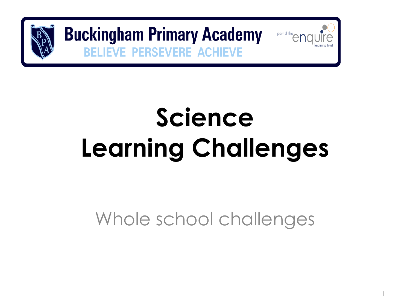

**Buckingham Primary Academy VE PERSEVERE ACHIEVE** 

# **Science Learning Challenges**

part of the en

Whole school challenges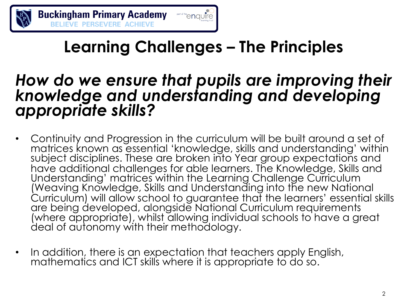

### **Learning Challenges – The Principles**

#### *How do we ensure that pupils are improving their knowledge and understanding and developing appropriate skills?*

- Continuity and Progression in the curriculum will be built around a set of matrices known as essential 'knowledge, skills and understanding' within subject disciplines. These are broken into Year group expectations and Understanding' matrices within the Learning Challenge Curriculum (Weaving Knowledge, Skills and Understanding into the new National Curriculum) will allow school to guarantee that the learners' essential skills are being developed, alongside National Curriculum requirements (where appropriate), whilst allowing individual schools to have a great deal of autonomy with their methodology.
- In addition, there is an expectation that teachers apply English, mathematics and ICT skills where it is appropriate to do so.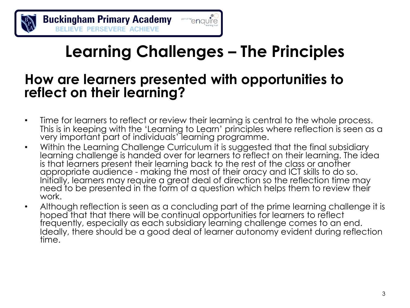

### **Learning Challenges – The Principles**

#### **How are learners presented with opportunities to reflect on their learning?**

- Time for learners to reflect or review their learning is central to the whole process. This is in keeping with the 'Learning to Learn' principles where reflection is seen as a very important part of individuals' learning programme.
- Within the Learning Challenge Curriculum it is suggested that the final subsidiary learning challenge is handed over for learners to reflect on their learning. The idea is that learners present their learning back to the rest of the class or another appropriate audience - making the most of their oracy and ICT skills to do so. Initially, learners may require a great deal of direction so the reflection time may need to be presented in the form of a question which helps them to review their work.
- Although reflection is seen as a concluding part of the prime learning challenge it is hoped that that there will be continual opportunities for learners to reflect frequently, especially as each subsidiary learning challenge comes to an end. Ideally, there should be a good deal of learner autonomy evident during reflection time.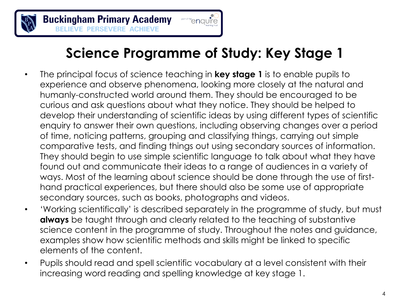

#### **Science Programme of Study: Key Stage 1**

'enauïre

- The principal focus of science teaching in **key stage 1** is to enable pupils to experience and observe phenomena, looking more closely at the natural and humanly-constructed world around them. They should be encouraged to be curious and ask questions about what they notice. They should be helped to develop their understanding of scientific ideas by using different types of scientific enquiry to answer their own questions, including observing changes over a period of time, noticing patterns, grouping and classifying things, carrying out simple comparative tests, and finding things out using secondary sources of information. They should begin to use simple scientific language to talk about what they have found out and communicate their ideas to a range of audiences in a variety of ways. Most of the learning about science should be done through the use of firsthand practical experiences, but there should also be some use of appropriate secondary sources, such as books, photographs and videos.
- 'Working scientifically' is described separately in the programme of study, but must **always** be taught through and clearly related to the teaching of substantive science content in the programme of study. Throughout the notes and guidance, examples show how scientific methods and skills might be linked to specific elements of the content.
- Pupils should read and spell scientific vocabulary at a level consistent with their increasing word reading and spelling knowledge at key stage 1.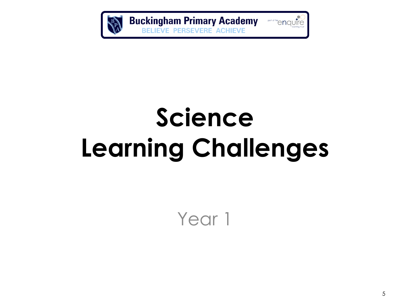

# **Science Learning Challenges**

Year 1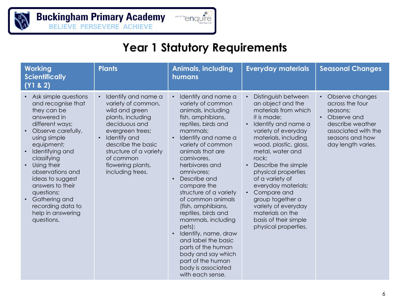

#### **Year 1 Statutory Requirements**

| <b>Working</b><br><b>Scientifically</b><br>(Y1 & 2)                                                                                                                                                                                                                                                                                                   | <b>Plants</b>                                                                                                                                                                                                                               | <b>Animals, including</b><br>humans                                                                                                                                                                                                                                                                                                                                                                                                                                                                                                                                     | <b>Everyday materials</b>                                                                                                                                                                                                                                                                                                                                                                                                          | <b>Seasonal Changes</b>                                                                                                                                        |
|-------------------------------------------------------------------------------------------------------------------------------------------------------------------------------------------------------------------------------------------------------------------------------------------------------------------------------------------------------|---------------------------------------------------------------------------------------------------------------------------------------------------------------------------------------------------------------------------------------------|-------------------------------------------------------------------------------------------------------------------------------------------------------------------------------------------------------------------------------------------------------------------------------------------------------------------------------------------------------------------------------------------------------------------------------------------------------------------------------------------------------------------------------------------------------------------------|------------------------------------------------------------------------------------------------------------------------------------------------------------------------------------------------------------------------------------------------------------------------------------------------------------------------------------------------------------------------------------------------------------------------------------|----------------------------------------------------------------------------------------------------------------------------------------------------------------|
| • Ask simple questions<br>and recognise that<br>they can be<br>answered in<br>different ways;<br>Observe carefully,<br>using simple<br>equipment;<br>Identifying and<br>classifying<br>Using their<br>observations and<br>ideas to suggest<br>answers to their<br>questions;<br>Gathering and<br>recording data to<br>help in answering<br>questions. | Identify and name a<br>variety of common,<br>wild and green<br>plants, including<br>deciduous and<br>evergreen trees;<br>Identify and<br>describe the basic<br>structure of a variety<br>of common<br>flowering plants,<br>including trees. | Identify and name a<br>variety of common<br>animals, including<br>fish, amphibians,<br>reptiles, birds and<br>mammals;<br>Identify and name a<br>variety of common<br>animals that are<br>carnivores,<br>herbivores and<br>omnivores;<br>Describe and<br>$\bullet$<br>compare the<br>structure of a variety<br>of common animals<br>(fish, amphibians,<br>reptiles, birds and<br>mammals, including<br>pets);<br>Identify, name, draw<br>and label the basic<br>parts of the human<br>body and say which<br>part of the human<br>body is associated<br>with each sense. | Distinguish between<br>an object and the<br>materials from which<br>it is made;<br>Identify and name a<br>variety of everyday<br>materials, including<br>wood, plastic, glass,<br>metal, water and<br>rock;<br>Describe the simple<br>physical properties<br>of a variety of<br>everyday materials;<br>Compare and<br>group together a<br>variety of everyday<br>materials on the<br>basis of their simple<br>physical properties. | Observe changes<br>across the four<br>seasons;<br>Observe and<br>$\bullet$<br>describe weather<br>associated with the<br>seasons and how<br>day length varies. |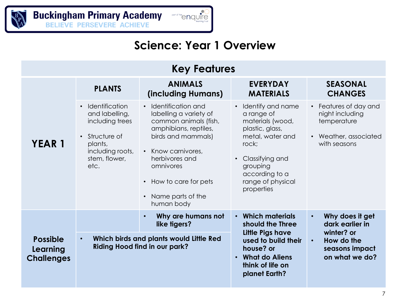#### **Science: Year 1 Overview**

| <b>Key Features</b>                              |                                                                                                                                 |                                                                                                                                                                                                                                          |                                                                                                                                                                                             |                                                                                                  |  |
|--------------------------------------------------|---------------------------------------------------------------------------------------------------------------------------------|------------------------------------------------------------------------------------------------------------------------------------------------------------------------------------------------------------------------------------------|---------------------------------------------------------------------------------------------------------------------------------------------------------------------------------------------|--------------------------------------------------------------------------------------------------|--|
|                                                  | <b>PLANTS</b>                                                                                                                   | <b>ANIMALS</b><br>(including Humans)                                                                                                                                                                                                     | <b>EVERYDAY</b><br><b>MATERIALS</b>                                                                                                                                                         | <b>SEASONAL</b><br><b>CHANGES</b>                                                                |  |
| <b>YEAR 1</b>                                    | • Identification<br>and labelling,<br>including trees<br>• Structure of<br>plants,<br>including roots,<br>stem, flower,<br>etc. | • Identification and<br>labelling a variety of<br>common animals (fish,<br>amphibians, reptiles,<br>birds and mammals)<br>• Know carnivores.<br>herbivores and<br>omnivores<br>• How to care for pets<br>Name parts of the<br>human body | • Identify and name<br>a range of<br>materials (wood,<br>plastic, glass,<br>metal, water and<br>rock:<br>• Classifying and<br>grouping<br>according to a<br>range of physical<br>properties | • Features of day and<br>night including<br>temperature<br>• Weather, associated<br>with seasons |  |
|                                                  |                                                                                                                                 | Why are humans not<br>$\bullet$<br>like tigers?                                                                                                                                                                                          | • Which materials<br>should the Three                                                                                                                                                       | Why does it get<br>$\bullet$<br>dark earlier in                                                  |  |
| <b>Possible</b><br>Learning<br><b>Challenges</b> | $\bullet$                                                                                                                       | Which birds and plants would Little Red<br><b>Riding Hood find in our park?</b>                                                                                                                                                          | Little Pigs have<br>used to build their<br>house? or<br>• What do Aliens<br>think of life on<br>planet Earth?                                                                               | winter? or<br>How do the<br>$\bullet$<br>seasons impact<br>on what we do?                        |  |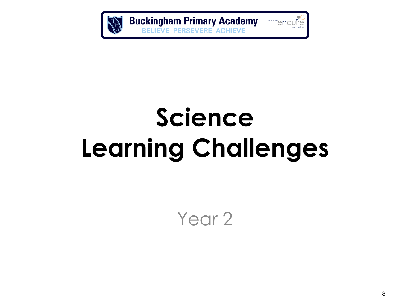

part of the end part of the end of the learning trust

# **Science Learning Challenges**

Year<sub>2</sub>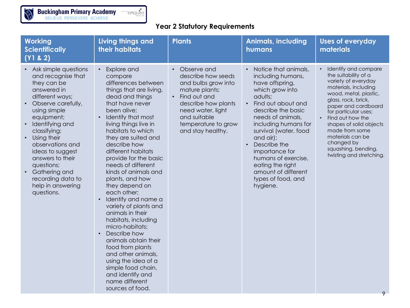BA

#### **Year 2 Statutory Requirements**

| <b>Working</b><br><b>Scientifically</b><br>(Y1 & 2)                                                                                                                                                                                                                                                                                                                                         | Living things and<br>their habitats                                                                                                                                                                                                                                                                                                                                                                                                                                                                                                                                                                                                                                                              | <b>Plants</b>                                                                                                                                                                                                   | <b>Animals, including</b><br>humans                                                                                                                                                                                                                                                                                                                               | <b>Uses of everyday</b><br>materials                                                                                                                                                                                                                                                                                                                  |
|---------------------------------------------------------------------------------------------------------------------------------------------------------------------------------------------------------------------------------------------------------------------------------------------------------------------------------------------------------------------------------------------|--------------------------------------------------------------------------------------------------------------------------------------------------------------------------------------------------------------------------------------------------------------------------------------------------------------------------------------------------------------------------------------------------------------------------------------------------------------------------------------------------------------------------------------------------------------------------------------------------------------------------------------------------------------------------------------------------|-----------------------------------------------------------------------------------------------------------------------------------------------------------------------------------------------------------------|-------------------------------------------------------------------------------------------------------------------------------------------------------------------------------------------------------------------------------------------------------------------------------------------------------------------------------------------------------------------|-------------------------------------------------------------------------------------------------------------------------------------------------------------------------------------------------------------------------------------------------------------------------------------------------------------------------------------------------------|
| Ask simple questions<br>and recognise that<br>they can be<br>answered in<br>different ways;<br>Observe carefully,<br>$\bullet$<br>using simple<br>equipment;<br>Identifying and<br>classifying;<br>Using their<br>$\bullet$<br>observations and<br>ideas to suggest<br>answers to their<br>questions;<br>Gathering and<br>$\bullet$<br>recording data to<br>help in answering<br>questions. | Explore and<br>compare<br>differences between<br>things that are living,<br>dead and things<br>that have never<br>been alive;<br>Identify that most<br>living things live in<br>habitats to which<br>they are suited and<br>describe how<br>different habitats<br>provide for the basic<br>needs of different<br>kinds of animals and<br>plants, and how<br>they depend on<br>each other;<br>Identify and name a<br>variety of plants and<br>animals in their<br>habitats, including<br>micro-habitats;<br>Describe how<br>animals obtain their<br>food from plants<br>and other animals,<br>using the idea of a<br>simple food chain,<br>and identify and<br>name different<br>sources of food. | Observe and<br>describe how seeds<br>and bulbs grow into<br>mature plants;<br>Find out and<br>$\bullet$<br>describe how plants<br>need water, light<br>and suitable<br>temperature to grow<br>and stay healthy. | Notice that animals,<br>including humans,<br>have offspring,<br>which grow into<br>adults;<br>• Find out about and<br>describe the basic<br>needs of animals,<br>including humans for<br>survival (water, food<br>and air);<br>Describe the<br>importance for<br>humans of exercise,<br>eating the right<br>amount of different<br>types of food, and<br>hygiene. | Identify and compare<br>the suitability of a<br>variety of everyday<br>materials, including<br>wood, metal, plastic,<br>glass, rock, brick,<br>paper and cardboard<br>for particular uses;<br>Find out how the<br>shapes of solid objects<br>made from some<br>materials can be<br>changed by<br>squashing, bending,<br>twisting and stretching.<br>9 |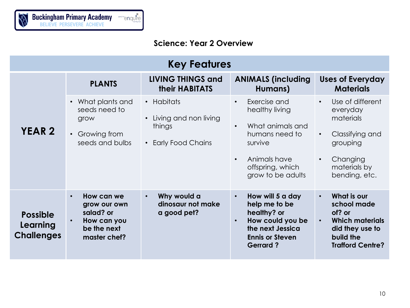

#### **Science: Year 2 Overview**

| <b>Key Features</b>                              |                                                                                                    |                                                                        |                                                                                                                                                                                 |                                                                                                                                                              |  |
|--------------------------------------------------|----------------------------------------------------------------------------------------------------|------------------------------------------------------------------------|---------------------------------------------------------------------------------------------------------------------------------------------------------------------------------|--------------------------------------------------------------------------------------------------------------------------------------------------------------|--|
|                                                  | <b>PLANTS</b>                                                                                      | <b>LIVING THINGS and</b><br><b>their HABITATS</b>                      | <b>ANIMALS (including</b><br>Humans)                                                                                                                                            | <b>Uses of Everyday</b><br><b>Materials</b>                                                                                                                  |  |
| <b>YEAR 2</b>                                    | • What plants and<br>seeds need to<br>grow<br>Growing from<br>seeds and bulbs                      | • Habitats<br>• Living and non living<br>things<br>• Early Food Chains | Exercise and<br>$\bullet$<br>healthy living<br>What animals and<br>$\bullet$<br>humans need to<br>survive<br>Animals have<br>$\bullet$<br>offspring, which<br>grow to be adults | Use of different<br>$\bullet$<br>everyday<br>materials<br>Classifying and<br>$\bullet$<br>grouping<br>Changing<br>$\bullet$<br>materials by<br>bending, etc. |  |
| <b>Possible</b><br>Learning<br><b>Challenges</b> | How can we<br>$\bullet$<br>grow our own<br>salad? or<br>How can you<br>be the next<br>master chef? | Why would a<br>$\bullet$<br>dinosaur not make<br>a good pet?           | How will 5 a day<br>$\bullet$<br>help me to be<br>healthy? or<br>How could you be<br>$\bullet$<br>the next Jessica<br><b>Ennis or Steven</b><br><b>Gerrard?</b>                 | What is our<br>$\bullet$<br>school made<br>of? or<br><b>Which materials</b><br>$\bullet$<br>did they use to<br>build the<br><b>Trafford Centre?</b>          |  |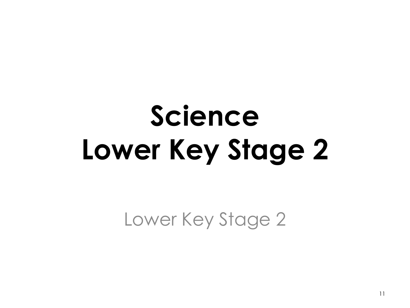# **Science Lower Key Stage 2**

Lower Key Stage 2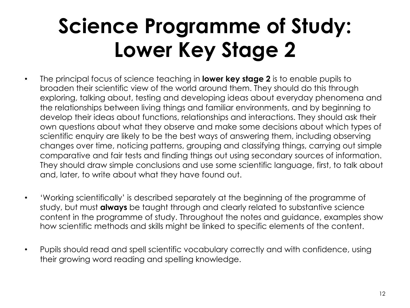## **Science Programme of Study: Lower Key Stage 2**

- The principal focus of science teaching in **lower key stage 2** is to enable pupils to broaden their scientific view of the world around them. They should do this through exploring, talking about, testing and developing ideas about everyday phenomena and the relationships between living things and familiar environments, and by beginning to develop their ideas about functions, relationships and interactions. They should ask their own questions about what they observe and make some decisions about which types of scientific enquiry are likely to be the best ways of answering them, including observing changes over time, noticing patterns, grouping and classifying things, carrying out simple comparative and fair tests and finding things out using secondary sources of information. They should draw simple conclusions and use some scientific language, first, to talk about and, later, to write about what they have found out.
- 'Working scientifically' is described separately at the beginning of the programme of study, but must **always** be taught through and clearly related to substantive science content in the programme of study. Throughout the notes and guidance, examples show how scientific methods and skills might be linked to specific elements of the content.
- Pupils should read and spell scientific vocabulary correctly and with confidence, using their growing word reading and spelling knowledge.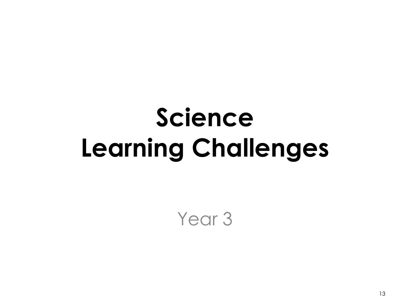## **Science Learning Challenges**

Year<sub>3</sub>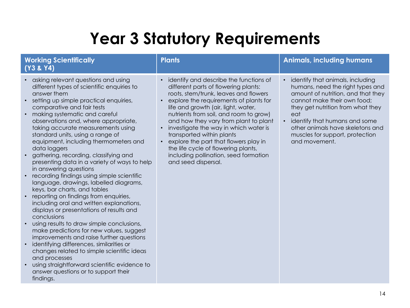### **Year 3 Statutory Requirements**

| <b>Working Scientifically</b><br>(Y3 & Y4)                                                                                                                                                                                                                                                                                                                                                                                                                                                                                                                                                                                                                                                                                                                                                                                                                                                                                                                                                                                                                                                                                                                                  | <b>Plants</b>                                                                                                                                                                                                                                                                                                                                                                                                                                                                                                       | <b>Animals, including humans</b>                                                                                                                                                                                                                                                                                            |
|-----------------------------------------------------------------------------------------------------------------------------------------------------------------------------------------------------------------------------------------------------------------------------------------------------------------------------------------------------------------------------------------------------------------------------------------------------------------------------------------------------------------------------------------------------------------------------------------------------------------------------------------------------------------------------------------------------------------------------------------------------------------------------------------------------------------------------------------------------------------------------------------------------------------------------------------------------------------------------------------------------------------------------------------------------------------------------------------------------------------------------------------------------------------------------|---------------------------------------------------------------------------------------------------------------------------------------------------------------------------------------------------------------------------------------------------------------------------------------------------------------------------------------------------------------------------------------------------------------------------------------------------------------------------------------------------------------------|-----------------------------------------------------------------------------------------------------------------------------------------------------------------------------------------------------------------------------------------------------------------------------------------------------------------------------|
| asking relevant questions and using<br>different types of scientific enquiries to<br>answer them<br>setting up simple practical enquiries,<br>$\bullet$<br>comparative and fair tests<br>making systematic and careful<br>$\bullet$<br>observations and, where appropriate,<br>taking accurate measurements using<br>standard units, using a range of<br>equipment, including thermometers and<br>data loggers<br>gathering, recording, classifying and<br>presenting data in a variety of ways to help<br>in answering questions<br>recording findings using simple scientific<br>language, drawings, labelled diagrams,<br>keys, bar charts, and tables<br>reporting on findings from enquiries,<br>including oral and written explanations,<br>displays or presentations of results and<br>conclusions<br>using results to draw simple conclusions,<br>$\bullet$<br>make predictions for new values, suggest<br>improvements and raise further questions<br>identifying differences, similarities or<br>$\bullet$<br>changes related to simple scientific ideas<br>and processes<br>using straightforward scientific evidence to<br>answer questions or to support their | identify and describe the functions of<br>different parts of flowering plants:<br>roots, stem/trunk, leaves and flowers<br>explore the requirements of plants for<br>life and growth (air, light, water,<br>nutrients from soil, and room to grow)<br>and how they vary from plant to plant<br>investigate the way in which water is<br>transported within plants<br>• explore the part that flowers play in<br>the life cycle of flowering plants,<br>including pollination, seed formation<br>and seed dispersal. | identify that animals, including<br>humans, need the right types and<br>amount of nutrition, and that they<br>cannot make their own food;<br>they get nutrition from what they<br>eat<br>identify that humans and some<br>$\bullet$<br>other animals have skeletons and<br>muscles for support, protection<br>and movement. |
| findings.                                                                                                                                                                                                                                                                                                                                                                                                                                                                                                                                                                                                                                                                                                                                                                                                                                                                                                                                                                                                                                                                                                                                                                   |                                                                                                                                                                                                                                                                                                                                                                                                                                                                                                                     |                                                                                                                                                                                                                                                                                                                             |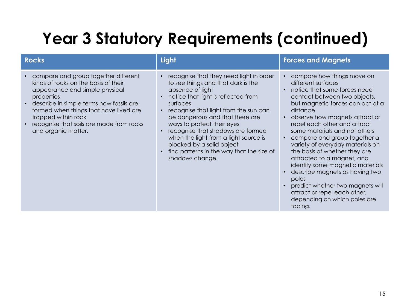### **Year 3 Statutory Requirements (continued)**

| <b>Rocks</b>                                                                                                                                                                                                                                                                                                 | Light                                                                                                                                                                                                                                                                                                                                                                                                                                     | <b>Forces and Magnets</b>                                                                                                                                                                                                                                                                                                                                                                                                                                                                                                                                                                                         |
|--------------------------------------------------------------------------------------------------------------------------------------------------------------------------------------------------------------------------------------------------------------------------------------------------------------|-------------------------------------------------------------------------------------------------------------------------------------------------------------------------------------------------------------------------------------------------------------------------------------------------------------------------------------------------------------------------------------------------------------------------------------------|-------------------------------------------------------------------------------------------------------------------------------------------------------------------------------------------------------------------------------------------------------------------------------------------------------------------------------------------------------------------------------------------------------------------------------------------------------------------------------------------------------------------------------------------------------------------------------------------------------------------|
| compare and group together different<br>kinds of rocks on the basis of their<br>appearance and simple physical<br>properties<br>describe in simple terms how fossils are<br>formed when things that have lived are<br>trapped within rock<br>recognise that soils are made from rocks<br>and organic matter. | recognise that they need light in order<br>to see things and that dark is the<br>absence of light<br>notice that light is reflected from<br>surfaces<br>recognise that light from the sun can<br>be dangerous and that there are<br>ways to protect their eyes<br>recognise that shadows are formed<br>when the light from a light source is<br>blocked by a solid object<br>find patterns in the way that the size of<br>shadows change. | compare how things move on<br>different surfaces<br>notice that some forces need<br>contact between two objects,<br>but magnetic forces can act at a<br>distance<br>observe how magnets attract or<br>$\bullet$<br>repel each other and attract<br>some materials and not others<br>compare and group together a<br>variety of everyday materials on<br>the basis of whether they are<br>attracted to a magnet, and<br>identify some magnetic materials<br>describe magnets as having two<br>poles<br>predict whether two magnets will<br>attract or repel each other,<br>depending on which poles are<br>facing. |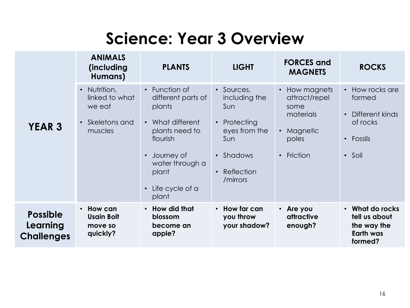#### **Science: Year 3 Overview**

|                                                  | <b>ANIMALS</b><br>(including<br>Humans)                                | <b>PLANTS</b>                                                                                                                                                         | <b>LIGHT</b>                                                                                                                              | <b>FORCES</b> and<br><b>MAGNETS</b>                                                                            | <b>ROCKS</b>                                                                                                       |
|--------------------------------------------------|------------------------------------------------------------------------|-----------------------------------------------------------------------------------------------------------------------------------------------------------------------|-------------------------------------------------------------------------------------------------------------------------------------------|----------------------------------------------------------------------------------------------------------------|--------------------------------------------------------------------------------------------------------------------|
| <b>YEAR 3</b>                                    | • Nutrition,<br>linked to what<br>we eat<br>• Skeletons and<br>muscles | • Function of<br>different parts of<br>plants<br>• What different<br>plants need to<br>flourish<br>Journey of<br>water through a<br>plant<br>Life cycle of a<br>plant | • Sources,<br>including the<br>Sun<br>Protecting<br>$\bullet$<br>eyes from the<br>Sun<br>• Shadows<br>Reflection<br>$\bullet$<br>/mirrors | • How magnets<br>attract/repel<br>some<br>materials<br>Magnetic<br>$\bullet$<br>poles<br>Friction<br>$\bullet$ | How rocks are<br>$\bullet$<br>formed<br>Different kinds<br>$\bullet$<br>of rocks<br>Fossils<br>$\bullet$<br>• Soil |
| <b>Possible</b><br>Learning<br><b>Challenges</b> | • How can<br><b>Usain Bolt</b><br>move so<br>quickly?                  | • How did that<br>blossom<br>become an<br>apple?                                                                                                                      | $\cdot$ How far can<br>you throw<br>your shadow?                                                                                          | $\cdot$ Are you<br>attractive<br>enough?                                                                       | What do rocks<br>$\bullet$<br>tell us about<br>the way the<br><b>Earth was</b><br>formed?                          |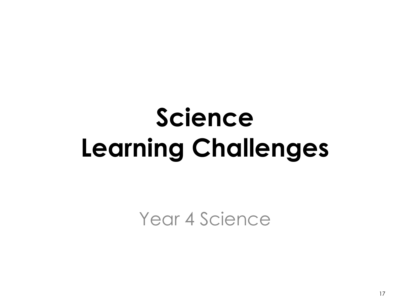# **Science Learning Challenges**

Year 4 Science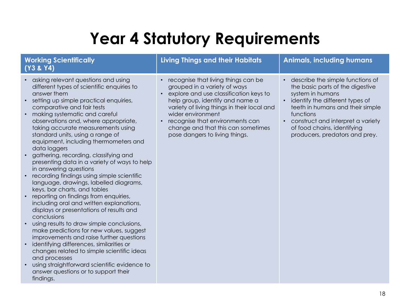### **Year 4 Statutory Requirements**

#### **Working Scientifically (Y3 & Y4)**

- asking relevant questions and using different types of scientific enquiries to answer them
- setting up simple practical enquiries, comparative and fair tests
- making systematic and careful observations and, where appropriate, taking accurate measurements using standard units, using a range of equipment, including thermometers and data loggers
- gathering, recording, classifying and presenting data in a variety of ways to help in answering questions
- recording findings using simple scientific language, drawings, labelled diagrams, keys, bar charts, and tables
- reporting on findings from enquiries, including oral and written explanations, displays or presentations of results and conclusions
- using results to draw simple conclusions, make predictions for new values, suggest improvements and raise further questions
- identifying differences, similarities or changes related to simple scientific ideas and processes
- using straightforward scientific evidence to answer questions or to support their findings.

#### **Living Things and their Habitats Animals, including humans**

- recognise that living things can be
	- grouped in a variety of ways
- explore and use classification keys to help group, identify and name a variety of living things in their local and wider environment
- recognise that environments can change and that this can sometimes pose dangers to living things.
- describe the simple functions of the basic parts of the digestive system in humans
- identify the different types of teeth in humans and their simple functions
- construct and interpret a variety of food chains, identifying producers, predators and prey.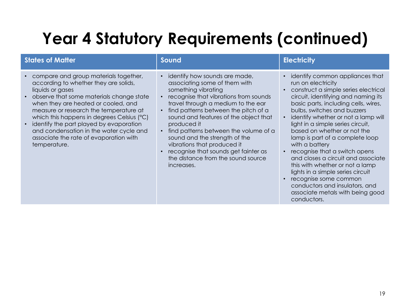### **Year 4 Statutory Requirements (continued)**

| <b>States of Matter</b>                                                                                                                                                                                                                                                                                                                                                                                                                                 | Sound                                                                                                                                                                                                                                                                                                                                                                                                                                                                                  | <b>Electricity</b>                                                                                                                                                                                                                                                                                                                                                                                                                                                                                                                                                                                                                           |
|---------------------------------------------------------------------------------------------------------------------------------------------------------------------------------------------------------------------------------------------------------------------------------------------------------------------------------------------------------------------------------------------------------------------------------------------------------|----------------------------------------------------------------------------------------------------------------------------------------------------------------------------------------------------------------------------------------------------------------------------------------------------------------------------------------------------------------------------------------------------------------------------------------------------------------------------------------|----------------------------------------------------------------------------------------------------------------------------------------------------------------------------------------------------------------------------------------------------------------------------------------------------------------------------------------------------------------------------------------------------------------------------------------------------------------------------------------------------------------------------------------------------------------------------------------------------------------------------------------------|
| compare and group materials together,<br>according to whether they are solids,<br>liquids or gases<br>observe that some materials change state<br>$\bullet$<br>when they are heated or cooled, and<br>measure or research the temperature at<br>which this happens in degrees Celsius (°C)<br>identify the part played by evaporation<br>$\bullet$<br>and condensation in the water cycle and<br>associate the rate of evaporation with<br>temperature. | identify how sounds are made,<br>associating some of them with<br>something vibrating<br>recognise that vibrations from sounds<br>travel through a medium to the ear<br>find patterns between the pitch of a<br>sound and features of the object that<br>produced it<br>find patterns between the volume of a<br>$\bullet$<br>sound and the strength of the<br>vibrations that produced it<br>recognise that sounds get fainter as<br>the distance from the sound source<br>increases. | identify common appliances that<br>run on electricity<br>• construct a simple series electrical<br>circuit, identifying and naming its<br>basic parts, including cells, wires,<br>bulbs, switches and buzzers<br>identify whether or not a lamp will<br>light in a simple series circuit,<br>based on whether or not the<br>lamp is part of a complete loop<br>with a battery<br>recognise that a switch opens<br>and closes a circuit and associate<br>this with whether or not a lamp<br>lights in a simple series circuit<br>• recognise some common<br>conductors and insulators, and<br>associate metals with being good<br>conductors. |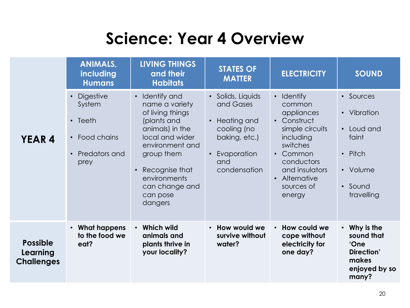#### **Science: Year 4 Overview**

|                                                  | <b>ANIMALS,</b><br>including<br><b>Humans</b>                                                                              | <b>LIVING THINGS</b><br>and their<br><b>Habitats</b>                                                                                                                                                                  | <b>STATES OF</b><br><b>MATTER</b>                                                                                                             | <b>ELECTRICITY</b>                                                                                                                                                                            | <b>SOUND</b>                                                                                    |
|--------------------------------------------------|----------------------------------------------------------------------------------------------------------------------------|-----------------------------------------------------------------------------------------------------------------------------------------------------------------------------------------------------------------------|-----------------------------------------------------------------------------------------------------------------------------------------------|-----------------------------------------------------------------------------------------------------------------------------------------------------------------------------------------------|-------------------------------------------------------------------------------------------------|
| <b>YEAR 4</b>                                    | <b>Digestive</b><br>$\bullet$<br>System<br>$\cdot$ Teeth<br>Food chains<br>$\bullet$<br>Predators and<br>$\bullet$<br>prey | • Identify and<br>name a variety<br>of living things<br>(plants and<br>animals) in the<br>local and wider<br>environment and<br>group them<br>Recognise that<br>environments<br>can change and<br>can pose<br>dangers | • Solids, Liquids<br>and Gases<br>Heating and<br>$\bullet$<br>cooling (no<br>baking, etc.)<br>Evaporation<br>$\bullet$<br>and<br>condensation | • Identify<br>common<br>appliances<br>• Construct<br>simple circuits<br>including<br>switches<br>Common<br>$\bullet$<br>conductors<br>and insulators<br>• Alternative<br>sources of<br>energy | • Sources<br>• Vibration<br>• Loud and<br>faint<br>• Pitch<br>• Volume<br>• Sound<br>travelling |
| <b>Possible</b><br>Learning<br><b>Challenges</b> | $\cdot$ What happens<br>to the food we<br>eat?                                                                             | • Which wild<br>animals and<br>plants thrive in<br>your locality?                                                                                                                                                     | • How would we<br>survive without<br>water?                                                                                                   | • How could we<br>cope without<br>electricity for<br>one day?                                                                                                                                 | • Why is the<br>sound that<br>'One<br>Direction'<br>makes<br>enjoyed by so<br>many?             |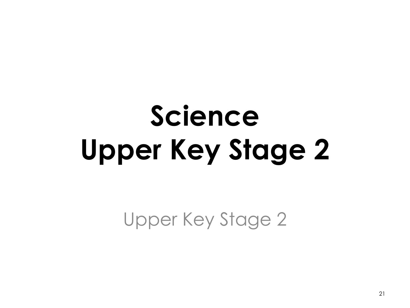# **Science Upper Key Stage 2**

Upper Key Stage 2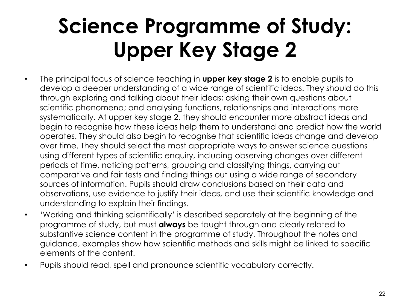## **Science Programme of Study: Upper Key Stage 2**

- The principal focus of science teaching in **upper key stage 2** is to enable pupils to develop a deeper understanding of a wide range of scientific ideas. They should do this through exploring and talking about their ideas; asking their own questions about scientific phenomena; and analysing functions, relationships and interactions more systematically. At upper key stage 2, they should encounter more abstract ideas and begin to recognise how these ideas help them to understand and predict how the world operates. They should also begin to recognise that scientific ideas change and develop over time. They should select the most appropriate ways to answer science questions using different types of scientific enquiry, including observing changes over different periods of time, noticing patterns, grouping and classifying things, carrying out comparative and fair tests and finding things out using a wide range of secondary sources of information. Pupils should draw conclusions based on their data and observations, use evidence to justify their ideas, and use their scientific knowledge and understanding to explain their findings.
- 'Working and thinking scientifically' is described separately at the beginning of the programme of study, but must **always** be taught through and clearly related to substantive science content in the programme of study. Throughout the notes and guidance, examples show how scientific methods and skills might be linked to specific elements of the content.
- Pupils should read, spell and pronounce scientific vocabulary correctly.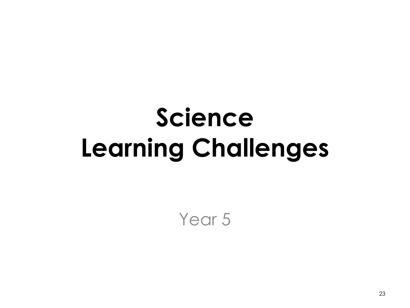# **Science Learning Challenges**

Year<sub>5</sub>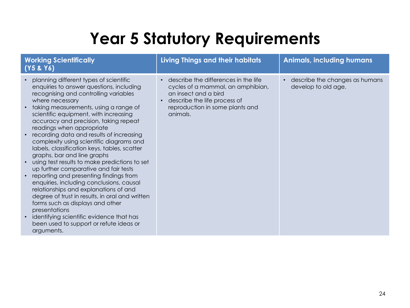### **Year 5 Statutory Requirements**

| <b>Working Scientifically</b><br>(Y5 & Y6)                                                                                                                                                                                                                                                                                                                                                                                                                                                                                                                                                                                                                                                                                                                                                                                                                                                                                                                              | <b>Living Things and their habitats</b>                                                                                                                                          | <b>Animals, including humans</b>                      |
|-------------------------------------------------------------------------------------------------------------------------------------------------------------------------------------------------------------------------------------------------------------------------------------------------------------------------------------------------------------------------------------------------------------------------------------------------------------------------------------------------------------------------------------------------------------------------------------------------------------------------------------------------------------------------------------------------------------------------------------------------------------------------------------------------------------------------------------------------------------------------------------------------------------------------------------------------------------------------|----------------------------------------------------------------------------------------------------------------------------------------------------------------------------------|-------------------------------------------------------|
| planning different types of scientific<br>$\bullet$<br>enquiries to answer questions, including<br>recognising and controlling variables<br>where necessary<br>taking measurements, using a range of<br>$\bullet$<br>scientific equipment, with increasing<br>accuracy and precision, taking repeat<br>readings when appropriate<br>recording data and results of increasing<br>complexity using scientific diagrams and<br>labels, classification keys, tables, scatter<br>graphs, bar and line graphs<br>using test results to make predictions to set<br>up further comparative and fair tests<br>reporting and presenting findings from<br>$\bullet$<br>enquiries, including conclusions, causal<br>relationships and explanations of and<br>degree of trust in results, in oral and written<br>forms such as displays and other<br>presentations<br>identifying scientific evidence that has<br>$\bullet$<br>been used to support or refute ideas or<br>arguments. | describe the differences in the life<br>cycles of a mammal, an amphibian,<br>an insect and a bird<br>describe the life process of<br>reproduction in some plants and<br>animals. | describe the changes as humans<br>develop to old age. |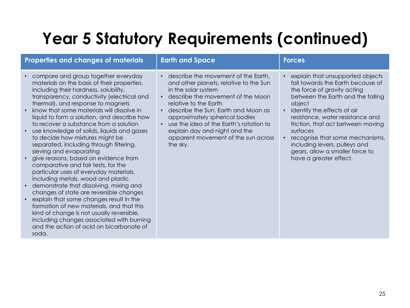### **Year 5 Statutory Requirements (continued)**

| <b>Properties and changes of materials</b>                                                                                                                                                                                                                                                                                                                                                                                                                                                                                                                                                                                                                                                                                                                                                                                                                                                                                                                                                                                        | <b>Earth and Space</b>                                                                                                                                                                                                                                                                                                                                                     | <b>Forces</b>                                                                                                                                                                                                                                                                                                                                                                                                |
|-----------------------------------------------------------------------------------------------------------------------------------------------------------------------------------------------------------------------------------------------------------------------------------------------------------------------------------------------------------------------------------------------------------------------------------------------------------------------------------------------------------------------------------------------------------------------------------------------------------------------------------------------------------------------------------------------------------------------------------------------------------------------------------------------------------------------------------------------------------------------------------------------------------------------------------------------------------------------------------------------------------------------------------|----------------------------------------------------------------------------------------------------------------------------------------------------------------------------------------------------------------------------------------------------------------------------------------------------------------------------------------------------------------------------|--------------------------------------------------------------------------------------------------------------------------------------------------------------------------------------------------------------------------------------------------------------------------------------------------------------------------------------------------------------------------------------------------------------|
| compare and group together everyday<br>materials on the basis of their properties,<br>including their hardness, solubility,<br>transparency, conductivity (electrical and<br>thermal), and response to magnets<br>know that some materials will dissolve in<br>liquid to form a solution, and describe how<br>to recover a substance from a solution<br>use knowledge of solids, liquids and gases<br>$\bullet$<br>to decide how mixtures might be<br>separated, including through filtering,<br>sieving and evaporating<br>give reasons, based on evidence from<br>comparative and fair tests, for the<br>particular uses of everyday materials,<br>including metals, wood and plastic<br>demonstrate that dissolving, mixing and<br>$\bullet$<br>changes of state are reversible changes<br>explain that some changes result in the<br>formation of new materials, and that this<br>kind of change is not usually reversible,<br>including changes associated with burning<br>and the action of acid on bicarbonate of<br>soda. | describe the movement of the Earth,<br>and other planets, relative to the Sun<br>in the solar system<br>describe the movement of the Moon<br>relative to the Earth<br>describe the Sun, Earth and Moon as<br>approximately spherical bodies<br>use the idea of the Earth's rotation to<br>explain day and night and the<br>apparent movement of the sun across<br>the sky. | • explain that unsupported objects<br>fall towards the Earth because of<br>the force of gravity acting<br>between the Earth and the falling<br>object<br>• identify the effects of air<br>resistance, water resistance and<br>friction, that act between moving<br>surfaces<br>recognise that some mechanisms,<br>including levers, pulleys and<br>gears, allow a smaller force to<br>have a greater effect. |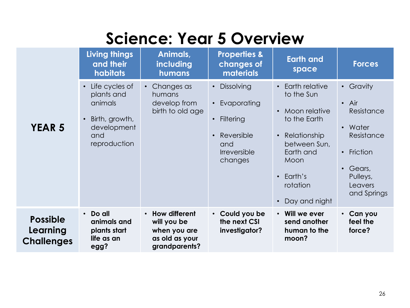#### **Science: Year 5 Overview**

|                                                  | <b>Living things</b><br>and their<br>habitats                                                                             | Animals,<br>including<br>humans                                                              | <b>Properties &amp;</b><br>changes of<br><b>materials</b>                                                                     | <b>Earth and</b><br>space                                                                                                                                                                    | <b>Forces</b>                                                                                                                                                      |
|--------------------------------------------------|---------------------------------------------------------------------------------------------------------------------------|----------------------------------------------------------------------------------------------|-------------------------------------------------------------------------------------------------------------------------------|----------------------------------------------------------------------------------------------------------------------------------------------------------------------------------------------|--------------------------------------------------------------------------------------------------------------------------------------------------------------------|
| <b>YEAR 5</b>                                    | Life cycles of<br>$\bullet$<br>plants and<br>animals<br>Birth, growth,<br>$\bullet$<br>development<br>and<br>reproduction | Changes as<br>$\bullet$<br>humans<br>develop from<br>birth to old age                        | Dissolving<br>$\bullet$<br>Evaporating<br>Filtering<br>$\bullet$<br>Reversible<br>$\bullet$<br>and<br>Irreversible<br>changes | Earth relative<br>$\bullet$<br>to the Sun<br>Moon relative<br>to the Earth<br>Relationship<br>$\bullet$<br>between Sun,<br>Earth and<br>Moon<br>$\cdot$ Earth's<br>rotation<br>Day and night | • Gravity<br>$\bullet$ Air<br>Resistance<br>Water<br>$\bullet$<br>Resistance<br>Friction<br>$\bullet$<br>Gears,<br>$\bullet$<br>Pulleys,<br>Leavers<br>and Springs |
| <b>Possible</b><br>Learning<br><b>Challenges</b> | Do all<br>$\bullet$<br>animals and<br>plants start<br>life as an<br>egg?                                                  | How different<br>$\bullet$<br>will you be<br>when you are<br>as old as your<br>grandparents? | Could you be<br>the next CSI<br>investigator?                                                                                 | Will we ever<br>send another<br>human to the<br>moon?                                                                                                                                        | • Can you<br>feel the<br>force?                                                                                                                                    |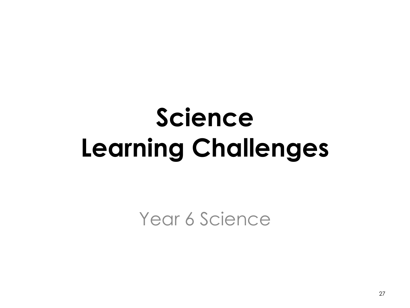# **Science Learning Challenges**

Year 6 Science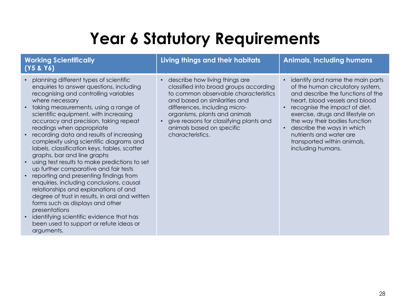### **Year 6 Statutory Requirements**

#### **Working Scientifically (Y5 & Y6)**

- planning different types of scientific enquiries to answer questions, including recognising and controlling variables where necessary
- taking measurements, using a range of scientific equipment, with increasing accuracy and precision, taking repeat readings when appropriate
- recording data and results of increasing complexity using scientific diagrams and labels, classification keys, tables, scatter graphs, bar and line graphs
- using test results to make predictions to set up further comparative and fair tests
- reporting and presenting findings from enquiries, including conclusions, causal relationships and explanations of and degree of trust in results, in oral and written forms such as displays and other presentations
- identifying scientific evidence that has been used to support or refute ideas or arguments.

#### **Living things and their habitats Animals, including humans**

• describe how living things are classified into broad groups according to common observable characteristics and based on similarities and differences, including micro-

organisms, plants and animals • give reasons for classifying plants and animals based on specific characteristics.

- identify and name the main parts of the human circulatory system, and describe the functions of the heart, blood vessels and blood
- recognise the impact of diet, exercise, drugs and lifestyle on the way their bodies function
- describe the ways in which nutrients and water are transported within animals, including humans.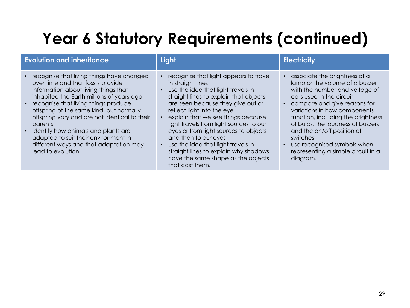### **Year 6 Statutory Requirements (continued)**

| <b>Evolution and inheritance</b>                                                                                                                                                                                                                                                                                                                                                                                                                                          | Light                                                                                                                                                                                                                                                                                                                                                                                                                                                                                                    | <b>Electricity</b>                                                                                                                                                                                                                                                                                                                                                                                     |
|---------------------------------------------------------------------------------------------------------------------------------------------------------------------------------------------------------------------------------------------------------------------------------------------------------------------------------------------------------------------------------------------------------------------------------------------------------------------------|----------------------------------------------------------------------------------------------------------------------------------------------------------------------------------------------------------------------------------------------------------------------------------------------------------------------------------------------------------------------------------------------------------------------------------------------------------------------------------------------------------|--------------------------------------------------------------------------------------------------------------------------------------------------------------------------------------------------------------------------------------------------------------------------------------------------------------------------------------------------------------------------------------------------------|
| • recognise that living things have changed<br>over time and that fossils provide<br>information about living things that<br>inhabited the Earth millions of years ago<br>• recognise that living things produce<br>offspring of the same kind, but normally<br>offspring vary and are not identical to their<br>parents<br>• identify how animals and plants are<br>adapted to suit their environment in<br>different ways and that adaptation may<br>lead to evolution. | recognise that light appears to travel<br>in straight lines<br>use the idea that light travels in<br>straight lines to explain that objects<br>are seen because they give out or<br>reflect light into the eye<br>explain that we see things because<br>light travels from light sources to our<br>eyes or from light sources to objects<br>and then to our eyes<br>use the idea that light travels in<br>straight lines to explain why shadows<br>have the same shape as the objects<br>that cast them. | • associate the brightness of a<br>lamp or the volume of a buzzer<br>with the number and voltage of<br>cells used in the circuit<br>compare and give reasons for<br>variations in how components<br>function, including the brightness<br>of bulbs, the loudness of buzzers<br>and the on/off position of<br>switches<br>use recognised symbols when<br>representing a simple circuit in a<br>diagram. |